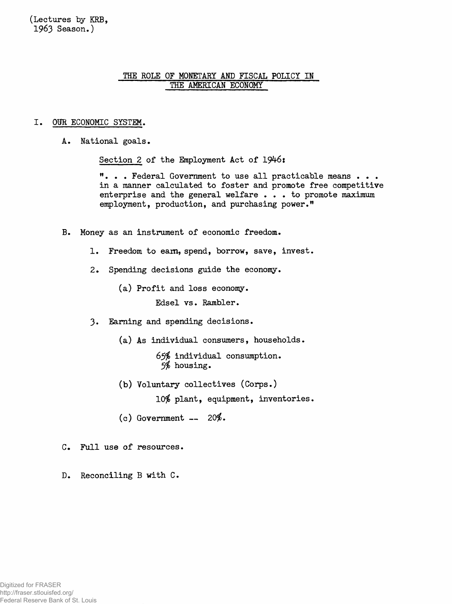**(Lectures by KRB, 1963 Season.)**

# **THE ROLE OF MONETARY AND FISCAL POLICY IN THE AMERICAN ECONOMY**

#### **I. OUR ECONOMIC SYSTEM.**

**A. National goals.**

Section 2 of the Employment Act of 1946:

**". . . Federal Government to use all practicable means . . . in a manner calculated to foster and promote free competitive enterprise and the general welfare . . . to promote maximum employment, production, and purchasing power."**

- **B. Money as an instrument of economic freedom.**
	- **1. Freedom to earn, spend, borrow, save, invest.**
	- **2. Spending decisions guide the economy.**

**(a) Profit and loss economy. Edsel vs. Rambler.**

- **3. Earning and spending decisions.**
	- **(a) As individual consumers, households.**

**65\$ individual consumption. 5# housing.**

**(b) Voluntary collectives (Corps.)**

**10# plant, equipment, inventories.**

- **(c) Government 20\$.**
- **C. Full use of resources.**

**D. Reconciling B with C.**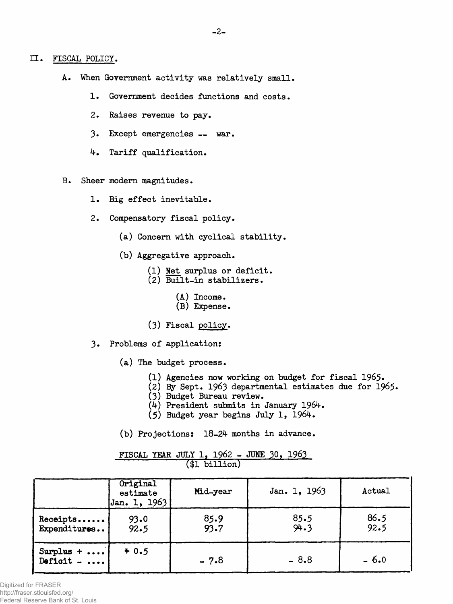- A. When Government activity was relatively small.
	- **1. Government decides functions and costs.**
	- **2. Raises revenue to pay.**
	- **3. Except emergencies war.**
	- **4. Tariff qualification.**

**B. Sheer modem magnitudes.**

- **1. Big effect inevitable.**
- **2. Compensatory fiscal policy.**
	- **(a) Concern with cyclical stability.**
	- **(b) Aggregative approach.**
		- **(1) Net surplus or deficit.**
		- **(2) Built-in stabilizers.**
			- **(A) Income.**
			- **(B) Expense.**
		- **(3) Fiscal policy.**
- **3\* Problems of application:**
	- **(a) The budget process.**
		- **(1) Agencies now working on budget for fiscal 1965\***
		- **(2) By Sept. 1963 departmental estimates due for 1965«**
		- **(3) Budget Bureau review.**
		- **(¿0 President submits in January 1964.**
		- **(5) Budget year begins July 1, 1964.**
	- **(b) Projections: 18-24- months in advance.**

|                                   | Original<br>estimate<br>$ $ Jan. 1, 1963 | Mid-year     | Jan. 1, 1963 | Actual       |
|-----------------------------------|------------------------------------------|--------------|--------------|--------------|
| Receipts<br>Expenditures          | 93.0<br>92.5                             | 85.9<br>93.7 | 85.5<br>94.3 | 86.5<br>92.5 |
| Surplus $+ \ldots$<br>Deficit $-$ | 40.5                                     | $-7.8$       | $-8.8$       | $-6.0$       |

**FISCAL YEAR JULY 1> 1962 - JUNE 30, 1963 (\$1 billion)**

Digitized for FRASER http://fraser.stlouisfed.org/ Federal Reserve Bank of St. Louis